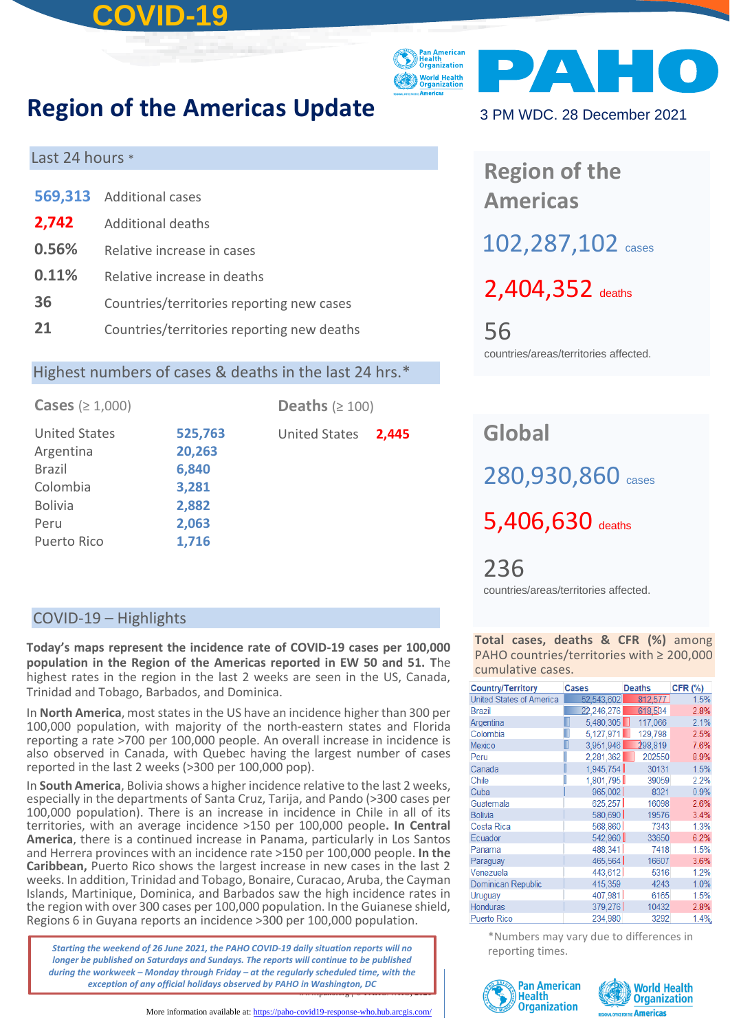# **Region of the Americas Update Brazil** etc.

 **COVID-19**

### Last 24 hours \*

|       | 569,313 Additional cases                   |
|-------|--------------------------------------------|
| 2,742 | <b>Additional deaths</b>                   |
| 0.56% | Relative increase in cases                 |
| 0.11% | Relative increase in deaths                |
| 36    | Countries/territories reporting new cases  |
| 21    | Countries/territories reporting new deaths |

### Highest numbers of cases & deaths in the last 24 hrs.\*

**Cases** (≥ 1,000) United States **525,763** Argentina **20,263** Brazil **6,840** Colombia **3,281** Bolivia **2,882** Peru **2,063** Puerto Rico **1,716** 

**Deaths** (≥ 100)

United States **2,445**

## COVID-19 – Highlights

**Today's maps represent the incidence rate of COVID-19 cases per 100,000 population in the Region of the Americas reported in EW 50 and 51. T**he highest rates in the region in the last 2 weeks are seen in the US, Canada, Trinidad and Tobago, Barbados, and Dominica.

In **North America**, most states in the US have an incidence higher than 300 per 100,000 population, with majority of the north-eastern states and Florida reporting a rate >700 per 100,000 people. An overall increase in incidence is also observed in Canada, with Quebec having the largest number of cases reported in the last 2 weeks (>300 per 100,000 pop).

In **South America**, Bolivia shows a higher incidence relative to the last 2 weeks, especially in the departments of Santa Cruz, Tarija, and Pando (>300 cases per 100,000 population). There is an increase in incidence in Chile in all of its territories, with an average incidence >150 per 100,000 people**. In Central America**, there is a continued increase in Panama, particularly in Los Santos and Herrera provinces with an incidence rate >150 per 100,000 people. **In the Caribbean,** Puerto Rico shows the largest increase in new cases in the last 2 weeks. In addition, Trinidad and Tobago, Bonaire, Curacao, Aruba, the Cayman Islands, Martinique, Dominica, and Barbados saw the high incidence rates in the region with over 300 cases per 100,000 population. In the Guianese shield, Regions 6 in Guyana reports an incidence >300 per 100,000 population.

exception of any official holidays observed by PAHO in Washington, DC ww.mpaho.org | © PAHO/WHO, 2021 Starting the weekend of 26 June 2021, the PAHO COVID-19 daily situation reports will no *Starting the weekend of 26 June 2021, the PAHO COVID-19 daily situation reports will no**reporting times. longer be published on Saturdays and Sundays. The reports will continue to be published during the workweek – Monday through Friday – at the regularly scheduled time, with the* 





**Region of the Americas**  102,287,102 cases 2,404,352 deaths 56

countries/areas/territories affected.

**Global** 280,930,860 cases 5,406,630 deaths

236 countries/areas/territories affected.

**Total cases, deaths & CFR (%)** among PAHO countries/territories with ≥ 200,000 cumulative cases.

| <b>Country/Territory</b> | Cases      | <b>Deaths</b> | <b>CFR (%)</b> |
|--------------------------|------------|---------------|----------------|
| United States of America | 52,543,602 | 812,577       | 1.5%           |
| <b>Brazil</b>            | 22,246,276 | 618,534       | 2.8%           |
| Argentina                | 5,480,305  | 117,066       | 2.1%           |
| Colombia                 | 5,127,971  | 129,798<br>ш  | 2.5%           |
| <b>Mexico</b>            | 3,951,946  | 298.819       | 7.6%           |
| Peru                     | 2,281,362  | 202550        | 8.9%           |
| Canada                   | 1,945,754  | 30131         | 1.5%           |
| Chile                    | 1,801,795  | 39059         | 2.2%           |
| Cuba                     | 965,002    | 8321          | 0.9%           |
| Guatemala                | 625,257    | 16098         | 2.6%           |
| <b>Bolivia</b>           | 580,690    | 19576         | 3.4%           |
| Costa Rica               | 568,860    | 7343          | 1.3%           |
| Ecuador                  | 542,960    | 33650         | 6.2%           |
| Panama                   | 488.341    | 7418          | 1.5%           |
| Paraguay                 | 465,564    | 16607         | 3.6%           |
| Venezuela                | 443,612    | 5316          | 1.2%           |
| Dominican Republic       | 415,359    | 4243          | 1.0%           |
| Uruguay                  | 407.981    | 6165          | 1.5%           |
| <b>Honduras</b>          | 379,276    | 10432         | 2.8%           |
| <b>Puerto Rico</b>       | 234,980    | 3292          | 1.4%.          |

\*Numbers may vary due to differences in

**Pan American** 

**Organization** 

**Health** 

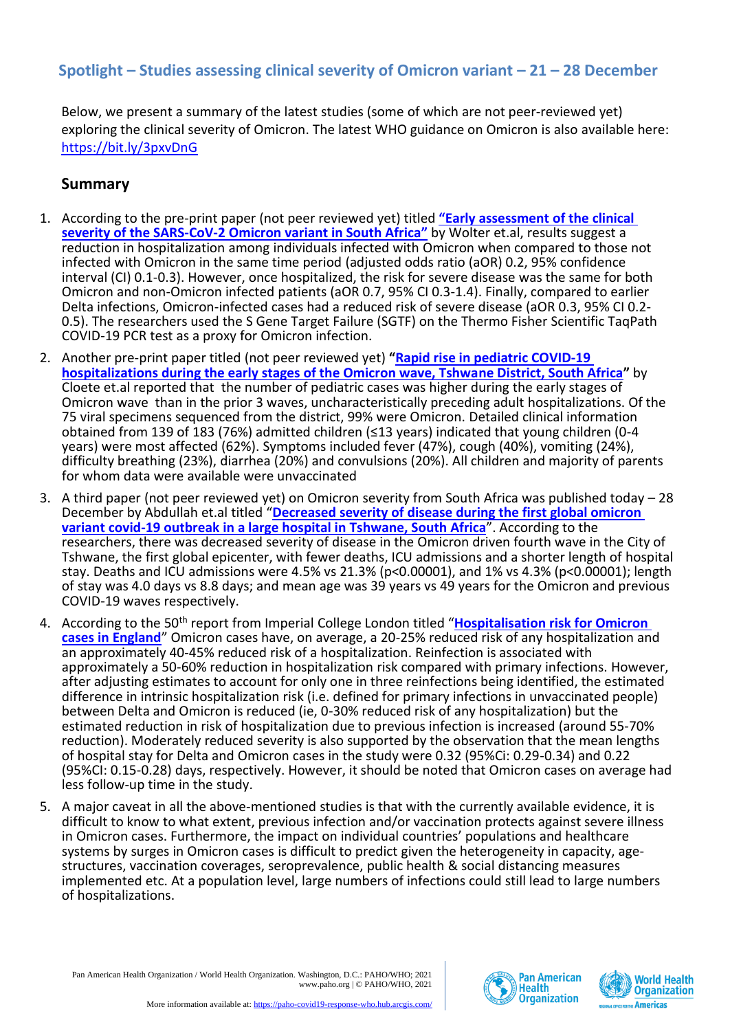# **Spotlight – Studies assessing clinical severity of Omicron variant – 21 – 28 December**

Below, we present a summary of the latest studies (some of which are not peer-reviewed yet) exploring the clinical severity of Omicron. The latest WHO guidance on Omicron is also available here: <https://bit.ly/3pxvDnG>

### **Summary**

- 1. According to the pre-print paper (not peer reviewed yet) titled **"[Early assessment of the clinical](https://www.medrxiv.org/content/10.1101/2021.12.21.21268116v1)  [severity of the SARS-CoV-2 Omicron variant in South Africa](https://www.medrxiv.org/content/10.1101/2021.12.21.21268116v1)"** by Wolter et.al, results suggest a reduction in hospitalization among individuals infected with Omicron when compared to those not infected with Omicron in the same time period (adjusted odds ratio (aOR) 0.2, 95% confidence interval (CI) 0.1-0.3). However, once hospitalized, the risk for severe disease was the same for both Omicron and non-Omicron infected patients (aOR 0.7, 95% CI 0.3-1.4). Finally, compared to earlier Delta infections, Omicron-infected cases had a reduced risk of severe disease (aOR 0.3, 95% CI 0.2- 0.5). The researchers used the S Gene Target Failure (SGTF) on the Thermo Fisher Scientific TaqPath COVID-19 PCR test as a proxy for Omicron infection.
- 2. Another pre-print paper titled (not peer reviewed yet) **"[Rapid rise in pediatric](https://www.medrxiv.org/content/10.1101/2021.12.21.21268108v1) COVID-19 hospitalizations [during the early stages of the Omicron wave, Tshwane District, South Africa](https://www.medrxiv.org/content/10.1101/2021.12.21.21268108v1)"** by Cloete et.al reported that the number of pediatric cases was higher during the early stages of Omicron wave than in the prior 3 waves, uncharacteristically preceding adult hospitalizations. Of the 75 viral specimens sequenced from the district, 99% were Omicron. Detailed clinical information obtained from 139 of 183 (76%) admitted children (≤13 years) indicated that young children (0-4 years) were most affected (62%). Symptoms included fever (47%), cough (40%), vomiting (24%), difficulty breathing (23%), diarrhea (20%) and convulsions (20%). All children and majority of parents for whom data were available were unvaccinated
- 3. A third paper (not peer reviewed yet) on Omicron severity from South Africa was published today 28 December by Abdullah et.al titled "**[Decreased severity of disease during the first global omicron](https://www.ijidonline.com/article/S1201-9712(21)01256-X/fulltext)  [variant covid-19 outbreak in a large hospital in Tshwane, South Africa](https://www.ijidonline.com/article/S1201-9712(21)01256-X/fulltext)**". According to the researchers, there was decreased severity of disease in the Omicron driven fourth wave in the City of Tshwane, the first global epicenter, with fewer deaths, ICU admissions and a shorter length of hospital stay. Deaths and ICU admissions were 4.5% vs 21.3% (p<0.00001), and 1% vs 4.3% (p<0.00001); length of stay was 4.0 days vs 8.8 days; and mean age was 39 years vs 49 years for the Omicron and previous COVID-19 waves respectively.
- 4. According to the 50th report from Imperial College London titled "**[Hospitalisation risk for Omicron](https://www.imperial.ac.uk/mrc-global-infectious-disease-analysis/covid-19/report-50-severity-omicron/)  [cases in England](https://www.imperial.ac.uk/mrc-global-infectious-disease-analysis/covid-19/report-50-severity-omicron/)**" Omicron cases have, on average, a 20-25% reduced risk of any hospitalization and an approximately 40-45% reduced risk of a hospitalization. Reinfection is associated with approximately a 50-60% reduction in hospitalization risk compared with primary infections. However, after adjusting estimates to account for only one in three reinfections being identified, the estimated difference in intrinsic hospitalization risk (i.e. defined for primary infections in unvaccinated people) between Delta and Omicron is reduced (ie, 0-30% reduced risk of any hospitalization) but the estimated reduction in risk of hospitalization due to previous infection is increased (around 55-70% reduction). Moderately reduced severity is also supported by the observation that the mean lengths of hospital stay for Delta and Omicron cases in the study were 0.32 (95%Ci: 0.29-0.34) and 0.22 (95%CI: 0.15-0.28) days, respectively. However, it should be noted that Omicron cases on average had less follow-up time in the study.
- 5. A major caveat in all the above-mentioned studies is that with the currently available evidence, it is difficult to know to what extent, previous infection and/or vaccination protects against severe illness in Omicron cases. Furthermore, the impact on individual countries' populations and healthcare systems by surges in Omicron cases is difficult to predict given the heterogeneity in capacity, agestructures, vaccination coverages, seroprevalence, public health & social distancing measures implemented etc. At a population level, large numbers of infections could still lead to large numbers of hospitalizations.



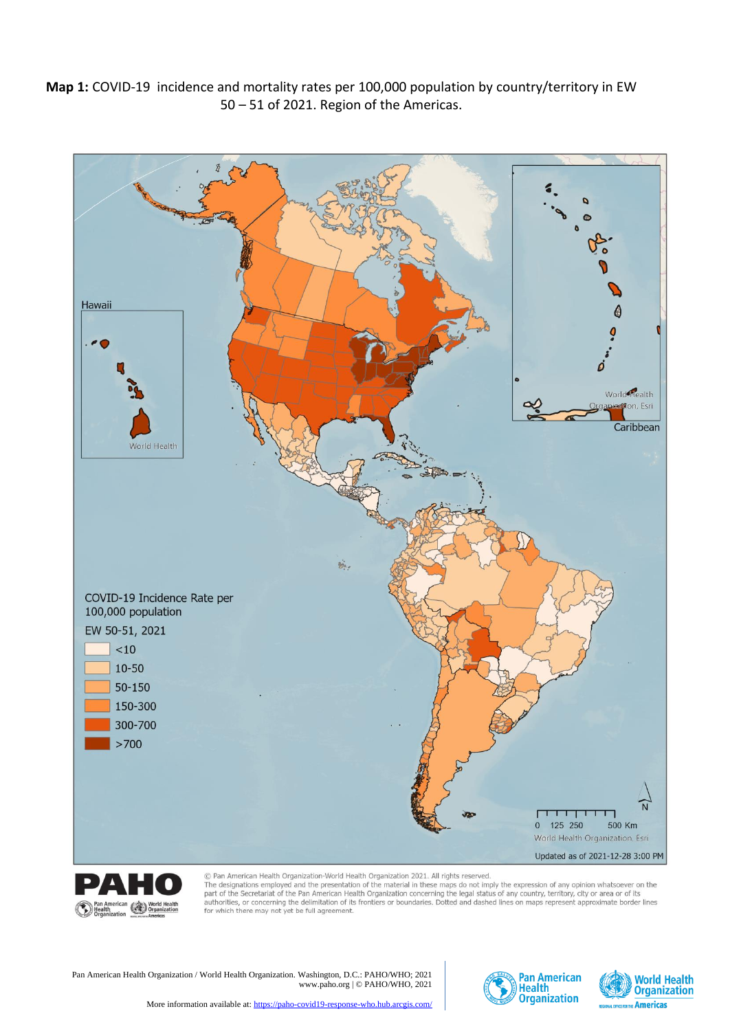**Map 1:** COVID-19 incidence and mortality rates per 100,000 population by country/territory in EW 50 – 51 of 2021. Region of the Americas.





© Pan American Health Organization-World Health Organization 2021. All rights reserved.<br>The designations employed and the presentation of the material in these maps do not imply the expression of any opinion whatsoever on

Pan American Health Organization / World Health Organization. Washington, D.C.: PAHO/WHO; 2021 www.paho.org | © PAHO/WHO, 2021



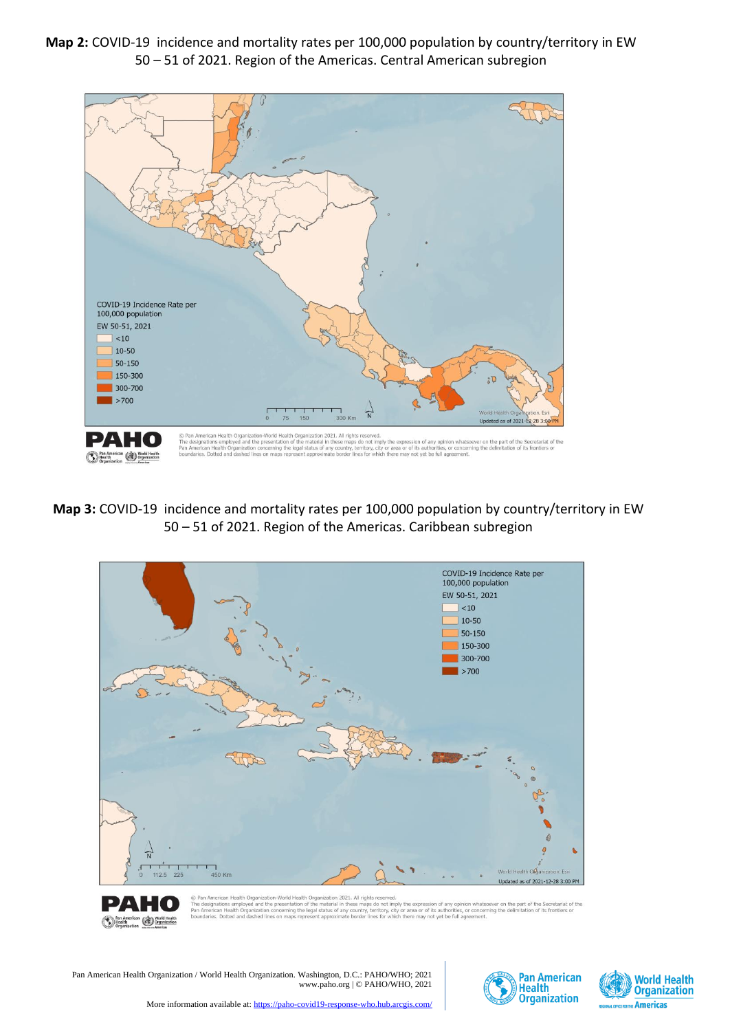**Map 2:** COVID-19 incidence and mortality rates per 100,000 population by country/territory in EW 50 – 51 of 2021. Region of the Americas. Central American subregion



**Map 3:** COVID-19 incidence and mortality rates per 100,000 population by country/territory in EW 50 – 51 of 2021. Region of the Americas. Caribbean subregion





© Pan American Health Organizati<br>The designations employed and th viorid Health Organization 2021. All rights reserved.<br>ssentation of the material in these maps do not imply the expression of any opinion whats<br>cerning the legal status of any country, territory, city or area or of its aut ever on the part of the Secretariat of the<br>ing the delimitation of its frontiers or ed and dashed lines on n

Pan American Health Organization / World Health Organization. Washington, D.C.: PAHO/WHO; 2021 www.paho.org | © PAHO/WHO, 2021



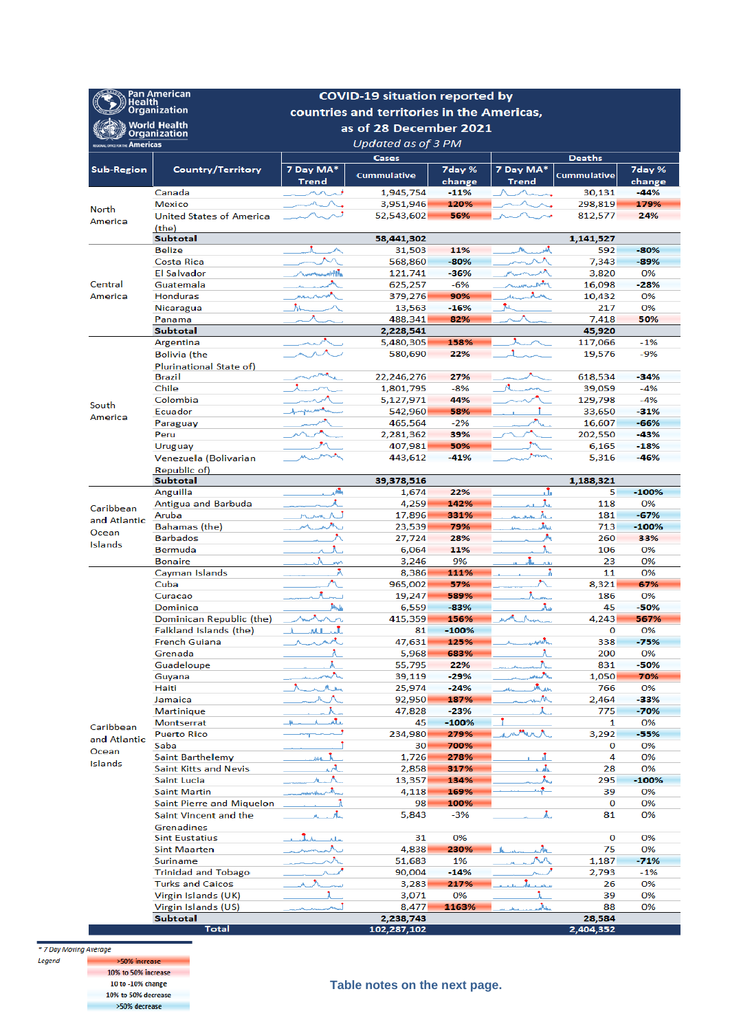| <b>Organization</b><br>countries and territories in the Americas,<br><b>World Health</b><br>as of 28 December 2021<br><b>Organization</b><br>Updated as of 3 PM<br><b>MGOVAL OFFICIATE Americas</b><br>Cases<br><b>Deaths</b><br>7 Day MA*<br>7 Day MA*<br>7day %<br><b>Sub-Region</b><br>Country/Territory<br>7day %<br><b>Cummulative</b><br><b>Cummulative</b><br>Trend<br>change<br>Trend<br>change<br>$-44%$<br>Canada<br>1,945,754<br>-11%<br>30,131<br>- *<br><b>Mexico</b><br>120%<br>298,819<br>179%<br>3,951,946<br><b>North</b><br>56%<br>24%<br><b>United States of America</b><br>52,543,602<br>812,577<br>America<br>(the)<br><b>Subtotal</b><br>58,441,302<br>1,141,527<br>بالملو<br><b>Belize</b><br>31,503<br>11%<br>592<br>-80%<br><b>Costa Rica</b><br>-80%<br>7,343<br>$-89%$<br>568,860<br><b>El Salvador</b><br><b>American Artific</b><br>-36%<br><b>ALAMAN</b><br>3,820<br>0%<br>121,741<br>manufacturer of the Contractor<br>Central<br>Guatemala<br>$-6%$<br>$-28%$<br>625,257<br>16,098<br><b>Honduras</b><br>90%<br>un and me<br>0%<br>America<br>379,276<br>10,432<br>大人<br>Tu.<br>$-16%$<br>0%<br>13,563<br>217<br>Nicaragua<br>Panama<br>488,341<br>82%<br>7,418<br>50%<br><b>Subtotal</b><br>2,228,541<br>45,920<br>$-1%$<br>Argentina<br>5,480,305<br>158%<br>117,066<br>22%<br>$-9%$<br>580.690<br>19,576<br><b>Bolivia</b> (the<br>Plurinational State of)<br><b>Brazil</b><br>22,246,276<br>27%<br>618,534<br>$-34%$<br>Chile<br>$-8%$<br>$-4%$<br>1,801,795<br>39,059<br>$-4%$<br>Colombia<br>5,127,971<br>44%<br>129,798<br>South<br>Ecuador<br>58%<br>$-31%$<br>542,960<br>33,650<br>America<br>465,564<br>$-2%$<br>$-66%$<br>Paraguay<br>16,607<br>39%<br>Peru<br>202,550<br>$-43%$<br>2,281,362<br>407,981<br>50%<br>$-18%$<br><b>Uruguay</b><br>6,165<br>$-41%$<br>$-46%$<br>Venezuela (Bolivarian<br>443,612<br>5,316<br>Republic of)<br><b>Subtotal</b><br>1,188,321<br>39,378,516<br>والأرز<br>đ.<br>Anguilla<br>1,674<br>22%<br>5<br>$-100%$<br>x<br>ىڭ ب<br>Antigua and Barbuda<br>4,259<br>142%<br>118<br>0%<br>Caribbean<br>Aruba<br>331%<br>an an Ar<br>$-67%$<br>Man A<br>17,896<br>181<br>and Atlantic<br>سائل<br>Bahamas (the)<br>79%<br>713<br>23,539<br>$-100%$<br>Ocean<br>д<br><b>Barbados</b><br>27,724<br>28%<br>260<br>33%<br><b>Islands</b><br>Bermuda<br>Λ.<br>11%<br>λ.<br>0%<br>6,064<br>106<br>л<br>9%<br>0%<br><b>Bonaire</b><br>3,246<br>23<br>مهن<br>بشاب<br>л<br>111%<br>11<br>0%<br>Cayman Islands<br>8,386<br>Ā<br>Cuba<br>57%<br>8,321<br>67%<br>965,002<br>19,247<br>589%<br>186<br>0%<br>Curacao<br>المستد<br><b>J</b> ink<br>Dominica<br>6,559<br>$-83%$<br>ль<br>45<br>$-50%$<br>567%<br>Dominican Republic (the)<br>415,359<br>156%<br>4,243<br>للمطالف<br>$-100%$<br>0%<br>Falkland Islands (the)<br>81<br>$\Omega$<br>ᅶ<br>French Guiana<br>47,631<br>125%<br>سالمتهم<br>338<br>$-75%$<br>Grenada<br>λ<br>683%<br>λ.<br>200<br>0%<br>5,968<br>ւ<br>Ã.<br>Guadeloupe<br>22%<br>831<br>$-50%$<br>55,795<br>ᄉ<br>يتحيله<br>Guyana<br>$-29%$<br>1,050<br>70%<br>39,119<br>them<br>Haiti<br>$-24%$<br>766<br>0%<br>25,974<br>灬<br>Jamaica<br>187%<br>2,464<br>$-33%$<br>92,950<br>Ã.,<br>775<br>Martinique<br>47,828<br>$-23%$<br>-70%<br>Αtμ<br>$-100%$<br>0%<br>Montserrat<br>45<br>1<br>Caribbean<br><i><b><i>AMARA</i></b></i><br><b>Puerto Rico</b><br>234,980<br>279%<br>3,292<br>$-55%$<br>and Atlantic<br>30 <sub>1</sub><br>700%<br>0%<br>Saba<br>0<br>Ocean<br>$\mu$ $\sim$ $\sim$<br>4<br><b>Saint Barthelemy</b><br>1,726<br>278%<br>J.<br>0%<br>Islands<br>الممد<br>عاأمت<br>Saint Kitts and Nevis<br>0%<br>2,858<br>317%<br>28<br>大山<br>$-100%$<br><b>Saint Lucia</b><br>13,357<br>134%<br>295<br>⊹<br>assessment in<br>169%<br>39<br><b>Saint Martin</b><br>4,118<br>0%<br>Ã.<br>100%<br>O<br>0%<br>Saint Pierre and Miquelon<br>98<br>λ.<br>Saint Vincent and the<br>л.<br>$-3%$<br>81<br>0%<br>5,843<br>Grenadines<br><b>Sint Eustatius</b><br>$\mathbf{L}$ , $\mathbf{L}$ $\mathbf{A}$ , $\mathbf{L}$ , $\mathbf{L}$<br>31<br>0%<br>0<br>0%<br>- Au<br>∟الأم<br>75<br>4,838<br>230%<br>0%<br><b>Sint Maarten</b><br><b>Suriname</b><br>51,683<br>1%<br>1,187<br>$-71%$<br><b>Trinidad and Tobago</b><br>$-14%$<br>2,793<br>$-1%$<br>90,004<br>217%<br><b>Turks and Caicos</b><br>سميته المتنب<br>0%<br>3,283<br>26<br>0%<br>Virgin Islands (UK)<br>39<br>0%<br>3,071<br>سائد<br>8,477<br>1163%<br>88<br>0%<br>Virgin Islands (US)<br>Subtotal<br>2,238,743<br>28,584<br>Total<br>102,287,102<br>2,404,352 | Pan American<br><b>Health</b> |  | <b>COVID-19 situation reported by</b> |  |  |  |  |  |
|-------------------------------------------------------------------------------------------------------------------------------------------------------------------------------------------------------------------------------------------------------------------------------------------------------------------------------------------------------------------------------------------------------------------------------------------------------------------------------------------------------------------------------------------------------------------------------------------------------------------------------------------------------------------------------------------------------------------------------------------------------------------------------------------------------------------------------------------------------------------------------------------------------------------------------------------------------------------------------------------------------------------------------------------------------------------------------------------------------------------------------------------------------------------------------------------------------------------------------------------------------------------------------------------------------------------------------------------------------------------------------------------------------------------------------------------------------------------------------------------------------------------------------------------------------------------------------------------------------------------------------------------------------------------------------------------------------------------------------------------------------------------------------------------------------------------------------------------------------------------------------------------------------------------------------------------------------------------------------------------------------------------------------------------------------------------------------------------------------------------------------------------------------------------------------------------------------------------------------------------------------------------------------------------------------------------------------------------------------------------------------------------------------------------------------------------------------------------------------------------------------------------------------------------------------------------------------------------------------------------------------------------------------------------------------------------------------------------------------------------------------------------------------------------------------------------------------------------------------------------------------------------------------------------------------------------------------------------------------------------------------------------------------------------------------------------------------------------------------------------------------------------------------------------------------------------------------------------------------------------------------------------------------------------------------------------------------------------------------------------------------------------------------------------------------------------------------------------------------------------------------------------------------------------------------------------------------------------------------------------------------------------------------------------------------------------------------------------------------------------------------------------------------------------------------------------------------------------------------------------------------------------------------------------------------------------------------------------------------------------------------------------------------------------------------------------------------------------------------------------------------------------------------------------------------------------------------------------------------------------------------------------------------------------------------------------------------------------------------------------------------------------------------------------------------------------------------------------------------------------------------|-------------------------------|--|---------------------------------------|--|--|--|--|--|
|                                                                                                                                                                                                                                                                                                                                                                                                                                                                                                                                                                                                                                                                                                                                                                                                                                                                                                                                                                                                                                                                                                                                                                                                                                                                                                                                                                                                                                                                                                                                                                                                                                                                                                                                                                                                                                                                                                                                                                                                                                                                                                                                                                                                                                                                                                                                                                                                                                                                                                                                                                                                                                                                                                                                                                                                                                                                                                                                                                                                                                                                                                                                                                                                                                                                                                                                                                                                                                                                                                                                                                                                                                                                                                                                                                                                                                                                                                                                                                                                                                                                                                                                                                                                                                                                                                                                                                                                                                                                                                       |                               |  |                                       |  |  |  |  |  |
|                                                                                                                                                                                                                                                                                                                                                                                                                                                                                                                                                                                                                                                                                                                                                                                                                                                                                                                                                                                                                                                                                                                                                                                                                                                                                                                                                                                                                                                                                                                                                                                                                                                                                                                                                                                                                                                                                                                                                                                                                                                                                                                                                                                                                                                                                                                                                                                                                                                                                                                                                                                                                                                                                                                                                                                                                                                                                                                                                                                                                                                                                                                                                                                                                                                                                                                                                                                                                                                                                                                                                                                                                                                                                                                                                                                                                                                                                                                                                                                                                                                                                                                                                                                                                                                                                                                                                                                                                                                                                                       |                               |  |                                       |  |  |  |  |  |
|                                                                                                                                                                                                                                                                                                                                                                                                                                                                                                                                                                                                                                                                                                                                                                                                                                                                                                                                                                                                                                                                                                                                                                                                                                                                                                                                                                                                                                                                                                                                                                                                                                                                                                                                                                                                                                                                                                                                                                                                                                                                                                                                                                                                                                                                                                                                                                                                                                                                                                                                                                                                                                                                                                                                                                                                                                                                                                                                                                                                                                                                                                                                                                                                                                                                                                                                                                                                                                                                                                                                                                                                                                                                                                                                                                                                                                                                                                                                                                                                                                                                                                                                                                                                                                                                                                                                                                                                                                                                                                       |                               |  |                                       |  |  |  |  |  |
|                                                                                                                                                                                                                                                                                                                                                                                                                                                                                                                                                                                                                                                                                                                                                                                                                                                                                                                                                                                                                                                                                                                                                                                                                                                                                                                                                                                                                                                                                                                                                                                                                                                                                                                                                                                                                                                                                                                                                                                                                                                                                                                                                                                                                                                                                                                                                                                                                                                                                                                                                                                                                                                                                                                                                                                                                                                                                                                                                                                                                                                                                                                                                                                                                                                                                                                                                                                                                                                                                                                                                                                                                                                                                                                                                                                                                                                                                                                                                                                                                                                                                                                                                                                                                                                                                                                                                                                                                                                                                                       |                               |  |                                       |  |  |  |  |  |
|                                                                                                                                                                                                                                                                                                                                                                                                                                                                                                                                                                                                                                                                                                                                                                                                                                                                                                                                                                                                                                                                                                                                                                                                                                                                                                                                                                                                                                                                                                                                                                                                                                                                                                                                                                                                                                                                                                                                                                                                                                                                                                                                                                                                                                                                                                                                                                                                                                                                                                                                                                                                                                                                                                                                                                                                                                                                                                                                                                                                                                                                                                                                                                                                                                                                                                                                                                                                                                                                                                                                                                                                                                                                                                                                                                                                                                                                                                                                                                                                                                                                                                                                                                                                                                                                                                                                                                                                                                                                                                       |                               |  |                                       |  |  |  |  |  |
|                                                                                                                                                                                                                                                                                                                                                                                                                                                                                                                                                                                                                                                                                                                                                                                                                                                                                                                                                                                                                                                                                                                                                                                                                                                                                                                                                                                                                                                                                                                                                                                                                                                                                                                                                                                                                                                                                                                                                                                                                                                                                                                                                                                                                                                                                                                                                                                                                                                                                                                                                                                                                                                                                                                                                                                                                                                                                                                                                                                                                                                                                                                                                                                                                                                                                                                                                                                                                                                                                                                                                                                                                                                                                                                                                                                                                                                                                                                                                                                                                                                                                                                                                                                                                                                                                                                                                                                                                                                                                                       |                               |  |                                       |  |  |  |  |  |
|                                                                                                                                                                                                                                                                                                                                                                                                                                                                                                                                                                                                                                                                                                                                                                                                                                                                                                                                                                                                                                                                                                                                                                                                                                                                                                                                                                                                                                                                                                                                                                                                                                                                                                                                                                                                                                                                                                                                                                                                                                                                                                                                                                                                                                                                                                                                                                                                                                                                                                                                                                                                                                                                                                                                                                                                                                                                                                                                                                                                                                                                                                                                                                                                                                                                                                                                                                                                                                                                                                                                                                                                                                                                                                                                                                                                                                                                                                                                                                                                                                                                                                                                                                                                                                                                                                                                                                                                                                                                                                       |                               |  |                                       |  |  |  |  |  |
|                                                                                                                                                                                                                                                                                                                                                                                                                                                                                                                                                                                                                                                                                                                                                                                                                                                                                                                                                                                                                                                                                                                                                                                                                                                                                                                                                                                                                                                                                                                                                                                                                                                                                                                                                                                                                                                                                                                                                                                                                                                                                                                                                                                                                                                                                                                                                                                                                                                                                                                                                                                                                                                                                                                                                                                                                                                                                                                                                                                                                                                                                                                                                                                                                                                                                                                                                                                                                                                                                                                                                                                                                                                                                                                                                                                                                                                                                                                                                                                                                                                                                                                                                                                                                                                                                                                                                                                                                                                                                                       |                               |  |                                       |  |  |  |  |  |
|                                                                                                                                                                                                                                                                                                                                                                                                                                                                                                                                                                                                                                                                                                                                                                                                                                                                                                                                                                                                                                                                                                                                                                                                                                                                                                                                                                                                                                                                                                                                                                                                                                                                                                                                                                                                                                                                                                                                                                                                                                                                                                                                                                                                                                                                                                                                                                                                                                                                                                                                                                                                                                                                                                                                                                                                                                                                                                                                                                                                                                                                                                                                                                                                                                                                                                                                                                                                                                                                                                                                                                                                                                                                                                                                                                                                                                                                                                                                                                                                                                                                                                                                                                                                                                                                                                                                                                                                                                                                                                       |                               |  |                                       |  |  |  |  |  |
|                                                                                                                                                                                                                                                                                                                                                                                                                                                                                                                                                                                                                                                                                                                                                                                                                                                                                                                                                                                                                                                                                                                                                                                                                                                                                                                                                                                                                                                                                                                                                                                                                                                                                                                                                                                                                                                                                                                                                                                                                                                                                                                                                                                                                                                                                                                                                                                                                                                                                                                                                                                                                                                                                                                                                                                                                                                                                                                                                                                                                                                                                                                                                                                                                                                                                                                                                                                                                                                                                                                                                                                                                                                                                                                                                                                                                                                                                                                                                                                                                                                                                                                                                                                                                                                                                                                                                                                                                                                                                                       |                               |  |                                       |  |  |  |  |  |
|                                                                                                                                                                                                                                                                                                                                                                                                                                                                                                                                                                                                                                                                                                                                                                                                                                                                                                                                                                                                                                                                                                                                                                                                                                                                                                                                                                                                                                                                                                                                                                                                                                                                                                                                                                                                                                                                                                                                                                                                                                                                                                                                                                                                                                                                                                                                                                                                                                                                                                                                                                                                                                                                                                                                                                                                                                                                                                                                                                                                                                                                                                                                                                                                                                                                                                                                                                                                                                                                                                                                                                                                                                                                                                                                                                                                                                                                                                                                                                                                                                                                                                                                                                                                                                                                                                                                                                                                                                                                                                       |                               |  |                                       |  |  |  |  |  |
|                                                                                                                                                                                                                                                                                                                                                                                                                                                                                                                                                                                                                                                                                                                                                                                                                                                                                                                                                                                                                                                                                                                                                                                                                                                                                                                                                                                                                                                                                                                                                                                                                                                                                                                                                                                                                                                                                                                                                                                                                                                                                                                                                                                                                                                                                                                                                                                                                                                                                                                                                                                                                                                                                                                                                                                                                                                                                                                                                                                                                                                                                                                                                                                                                                                                                                                                                                                                                                                                                                                                                                                                                                                                                                                                                                                                                                                                                                                                                                                                                                                                                                                                                                                                                                                                                                                                                                                                                                                                                                       |                               |  |                                       |  |  |  |  |  |
|                                                                                                                                                                                                                                                                                                                                                                                                                                                                                                                                                                                                                                                                                                                                                                                                                                                                                                                                                                                                                                                                                                                                                                                                                                                                                                                                                                                                                                                                                                                                                                                                                                                                                                                                                                                                                                                                                                                                                                                                                                                                                                                                                                                                                                                                                                                                                                                                                                                                                                                                                                                                                                                                                                                                                                                                                                                                                                                                                                                                                                                                                                                                                                                                                                                                                                                                                                                                                                                                                                                                                                                                                                                                                                                                                                                                                                                                                                                                                                                                                                                                                                                                                                                                                                                                                                                                                                                                                                                                                                       |                               |  |                                       |  |  |  |  |  |
|                                                                                                                                                                                                                                                                                                                                                                                                                                                                                                                                                                                                                                                                                                                                                                                                                                                                                                                                                                                                                                                                                                                                                                                                                                                                                                                                                                                                                                                                                                                                                                                                                                                                                                                                                                                                                                                                                                                                                                                                                                                                                                                                                                                                                                                                                                                                                                                                                                                                                                                                                                                                                                                                                                                                                                                                                                                                                                                                                                                                                                                                                                                                                                                                                                                                                                                                                                                                                                                                                                                                                                                                                                                                                                                                                                                                                                                                                                                                                                                                                                                                                                                                                                                                                                                                                                                                                                                                                                                                                                       |                               |  |                                       |  |  |  |  |  |
|                                                                                                                                                                                                                                                                                                                                                                                                                                                                                                                                                                                                                                                                                                                                                                                                                                                                                                                                                                                                                                                                                                                                                                                                                                                                                                                                                                                                                                                                                                                                                                                                                                                                                                                                                                                                                                                                                                                                                                                                                                                                                                                                                                                                                                                                                                                                                                                                                                                                                                                                                                                                                                                                                                                                                                                                                                                                                                                                                                                                                                                                                                                                                                                                                                                                                                                                                                                                                                                                                                                                                                                                                                                                                                                                                                                                                                                                                                                                                                                                                                                                                                                                                                                                                                                                                                                                                                                                                                                                                                       |                               |  |                                       |  |  |  |  |  |
|                                                                                                                                                                                                                                                                                                                                                                                                                                                                                                                                                                                                                                                                                                                                                                                                                                                                                                                                                                                                                                                                                                                                                                                                                                                                                                                                                                                                                                                                                                                                                                                                                                                                                                                                                                                                                                                                                                                                                                                                                                                                                                                                                                                                                                                                                                                                                                                                                                                                                                                                                                                                                                                                                                                                                                                                                                                                                                                                                                                                                                                                                                                                                                                                                                                                                                                                                                                                                                                                                                                                                                                                                                                                                                                                                                                                                                                                                                                                                                                                                                                                                                                                                                                                                                                                                                                                                                                                                                                                                                       |                               |  |                                       |  |  |  |  |  |
|                                                                                                                                                                                                                                                                                                                                                                                                                                                                                                                                                                                                                                                                                                                                                                                                                                                                                                                                                                                                                                                                                                                                                                                                                                                                                                                                                                                                                                                                                                                                                                                                                                                                                                                                                                                                                                                                                                                                                                                                                                                                                                                                                                                                                                                                                                                                                                                                                                                                                                                                                                                                                                                                                                                                                                                                                                                                                                                                                                                                                                                                                                                                                                                                                                                                                                                                                                                                                                                                                                                                                                                                                                                                                                                                                                                                                                                                                                                                                                                                                                                                                                                                                                                                                                                                                                                                                                                                                                                                                                       |                               |  |                                       |  |  |  |  |  |
|                                                                                                                                                                                                                                                                                                                                                                                                                                                                                                                                                                                                                                                                                                                                                                                                                                                                                                                                                                                                                                                                                                                                                                                                                                                                                                                                                                                                                                                                                                                                                                                                                                                                                                                                                                                                                                                                                                                                                                                                                                                                                                                                                                                                                                                                                                                                                                                                                                                                                                                                                                                                                                                                                                                                                                                                                                                                                                                                                                                                                                                                                                                                                                                                                                                                                                                                                                                                                                                                                                                                                                                                                                                                                                                                                                                                                                                                                                                                                                                                                                                                                                                                                                                                                                                                                                                                                                                                                                                                                                       |                               |  |                                       |  |  |  |  |  |
|                                                                                                                                                                                                                                                                                                                                                                                                                                                                                                                                                                                                                                                                                                                                                                                                                                                                                                                                                                                                                                                                                                                                                                                                                                                                                                                                                                                                                                                                                                                                                                                                                                                                                                                                                                                                                                                                                                                                                                                                                                                                                                                                                                                                                                                                                                                                                                                                                                                                                                                                                                                                                                                                                                                                                                                                                                                                                                                                                                                                                                                                                                                                                                                                                                                                                                                                                                                                                                                                                                                                                                                                                                                                                                                                                                                                                                                                                                                                                                                                                                                                                                                                                                                                                                                                                                                                                                                                                                                                                                       |                               |  |                                       |  |  |  |  |  |
|                                                                                                                                                                                                                                                                                                                                                                                                                                                                                                                                                                                                                                                                                                                                                                                                                                                                                                                                                                                                                                                                                                                                                                                                                                                                                                                                                                                                                                                                                                                                                                                                                                                                                                                                                                                                                                                                                                                                                                                                                                                                                                                                                                                                                                                                                                                                                                                                                                                                                                                                                                                                                                                                                                                                                                                                                                                                                                                                                                                                                                                                                                                                                                                                                                                                                                                                                                                                                                                                                                                                                                                                                                                                                                                                                                                                                                                                                                                                                                                                                                                                                                                                                                                                                                                                                                                                                                                                                                                                                                       |                               |  |                                       |  |  |  |  |  |
|                                                                                                                                                                                                                                                                                                                                                                                                                                                                                                                                                                                                                                                                                                                                                                                                                                                                                                                                                                                                                                                                                                                                                                                                                                                                                                                                                                                                                                                                                                                                                                                                                                                                                                                                                                                                                                                                                                                                                                                                                                                                                                                                                                                                                                                                                                                                                                                                                                                                                                                                                                                                                                                                                                                                                                                                                                                                                                                                                                                                                                                                                                                                                                                                                                                                                                                                                                                                                                                                                                                                                                                                                                                                                                                                                                                                                                                                                                                                                                                                                                                                                                                                                                                                                                                                                                                                                                                                                                                                                                       |                               |  |                                       |  |  |  |  |  |
|                                                                                                                                                                                                                                                                                                                                                                                                                                                                                                                                                                                                                                                                                                                                                                                                                                                                                                                                                                                                                                                                                                                                                                                                                                                                                                                                                                                                                                                                                                                                                                                                                                                                                                                                                                                                                                                                                                                                                                                                                                                                                                                                                                                                                                                                                                                                                                                                                                                                                                                                                                                                                                                                                                                                                                                                                                                                                                                                                                                                                                                                                                                                                                                                                                                                                                                                                                                                                                                                                                                                                                                                                                                                                                                                                                                                                                                                                                                                                                                                                                                                                                                                                                                                                                                                                                                                                                                                                                                                                                       |                               |  |                                       |  |  |  |  |  |
|                                                                                                                                                                                                                                                                                                                                                                                                                                                                                                                                                                                                                                                                                                                                                                                                                                                                                                                                                                                                                                                                                                                                                                                                                                                                                                                                                                                                                                                                                                                                                                                                                                                                                                                                                                                                                                                                                                                                                                                                                                                                                                                                                                                                                                                                                                                                                                                                                                                                                                                                                                                                                                                                                                                                                                                                                                                                                                                                                                                                                                                                                                                                                                                                                                                                                                                                                                                                                                                                                                                                                                                                                                                                                                                                                                                                                                                                                                                                                                                                                                                                                                                                                                                                                                                                                                                                                                                                                                                                                                       |                               |  |                                       |  |  |  |  |  |
|                                                                                                                                                                                                                                                                                                                                                                                                                                                                                                                                                                                                                                                                                                                                                                                                                                                                                                                                                                                                                                                                                                                                                                                                                                                                                                                                                                                                                                                                                                                                                                                                                                                                                                                                                                                                                                                                                                                                                                                                                                                                                                                                                                                                                                                                                                                                                                                                                                                                                                                                                                                                                                                                                                                                                                                                                                                                                                                                                                                                                                                                                                                                                                                                                                                                                                                                                                                                                                                                                                                                                                                                                                                                                                                                                                                                                                                                                                                                                                                                                                                                                                                                                                                                                                                                                                                                                                                                                                                                                                       |                               |  |                                       |  |  |  |  |  |
|                                                                                                                                                                                                                                                                                                                                                                                                                                                                                                                                                                                                                                                                                                                                                                                                                                                                                                                                                                                                                                                                                                                                                                                                                                                                                                                                                                                                                                                                                                                                                                                                                                                                                                                                                                                                                                                                                                                                                                                                                                                                                                                                                                                                                                                                                                                                                                                                                                                                                                                                                                                                                                                                                                                                                                                                                                                                                                                                                                                                                                                                                                                                                                                                                                                                                                                                                                                                                                                                                                                                                                                                                                                                                                                                                                                                                                                                                                                                                                                                                                                                                                                                                                                                                                                                                                                                                                                                                                                                                                       |                               |  |                                       |  |  |  |  |  |
|                                                                                                                                                                                                                                                                                                                                                                                                                                                                                                                                                                                                                                                                                                                                                                                                                                                                                                                                                                                                                                                                                                                                                                                                                                                                                                                                                                                                                                                                                                                                                                                                                                                                                                                                                                                                                                                                                                                                                                                                                                                                                                                                                                                                                                                                                                                                                                                                                                                                                                                                                                                                                                                                                                                                                                                                                                                                                                                                                                                                                                                                                                                                                                                                                                                                                                                                                                                                                                                                                                                                                                                                                                                                                                                                                                                                                                                                                                                                                                                                                                                                                                                                                                                                                                                                                                                                                                                                                                                                                                       |                               |  |                                       |  |  |  |  |  |
|                                                                                                                                                                                                                                                                                                                                                                                                                                                                                                                                                                                                                                                                                                                                                                                                                                                                                                                                                                                                                                                                                                                                                                                                                                                                                                                                                                                                                                                                                                                                                                                                                                                                                                                                                                                                                                                                                                                                                                                                                                                                                                                                                                                                                                                                                                                                                                                                                                                                                                                                                                                                                                                                                                                                                                                                                                                                                                                                                                                                                                                                                                                                                                                                                                                                                                                                                                                                                                                                                                                                                                                                                                                                                                                                                                                                                                                                                                                                                                                                                                                                                                                                                                                                                                                                                                                                                                                                                                                                                                       |                               |  |                                       |  |  |  |  |  |
|                                                                                                                                                                                                                                                                                                                                                                                                                                                                                                                                                                                                                                                                                                                                                                                                                                                                                                                                                                                                                                                                                                                                                                                                                                                                                                                                                                                                                                                                                                                                                                                                                                                                                                                                                                                                                                                                                                                                                                                                                                                                                                                                                                                                                                                                                                                                                                                                                                                                                                                                                                                                                                                                                                                                                                                                                                                                                                                                                                                                                                                                                                                                                                                                                                                                                                                                                                                                                                                                                                                                                                                                                                                                                                                                                                                                                                                                                                                                                                                                                                                                                                                                                                                                                                                                                                                                                                                                                                                                                                       |                               |  |                                       |  |  |  |  |  |
|                                                                                                                                                                                                                                                                                                                                                                                                                                                                                                                                                                                                                                                                                                                                                                                                                                                                                                                                                                                                                                                                                                                                                                                                                                                                                                                                                                                                                                                                                                                                                                                                                                                                                                                                                                                                                                                                                                                                                                                                                                                                                                                                                                                                                                                                                                                                                                                                                                                                                                                                                                                                                                                                                                                                                                                                                                                                                                                                                                                                                                                                                                                                                                                                                                                                                                                                                                                                                                                                                                                                                                                                                                                                                                                                                                                                                                                                                                                                                                                                                                                                                                                                                                                                                                                                                                                                                                                                                                                                                                       |                               |  |                                       |  |  |  |  |  |
|                                                                                                                                                                                                                                                                                                                                                                                                                                                                                                                                                                                                                                                                                                                                                                                                                                                                                                                                                                                                                                                                                                                                                                                                                                                                                                                                                                                                                                                                                                                                                                                                                                                                                                                                                                                                                                                                                                                                                                                                                                                                                                                                                                                                                                                                                                                                                                                                                                                                                                                                                                                                                                                                                                                                                                                                                                                                                                                                                                                                                                                                                                                                                                                                                                                                                                                                                                                                                                                                                                                                                                                                                                                                                                                                                                                                                                                                                                                                                                                                                                                                                                                                                                                                                                                                                                                                                                                                                                                                                                       |                               |  |                                       |  |  |  |  |  |
|                                                                                                                                                                                                                                                                                                                                                                                                                                                                                                                                                                                                                                                                                                                                                                                                                                                                                                                                                                                                                                                                                                                                                                                                                                                                                                                                                                                                                                                                                                                                                                                                                                                                                                                                                                                                                                                                                                                                                                                                                                                                                                                                                                                                                                                                                                                                                                                                                                                                                                                                                                                                                                                                                                                                                                                                                                                                                                                                                                                                                                                                                                                                                                                                                                                                                                                                                                                                                                                                                                                                                                                                                                                                                                                                                                                                                                                                                                                                                                                                                                                                                                                                                                                                                                                                                                                                                                                                                                                                                                       |                               |  |                                       |  |  |  |  |  |
|                                                                                                                                                                                                                                                                                                                                                                                                                                                                                                                                                                                                                                                                                                                                                                                                                                                                                                                                                                                                                                                                                                                                                                                                                                                                                                                                                                                                                                                                                                                                                                                                                                                                                                                                                                                                                                                                                                                                                                                                                                                                                                                                                                                                                                                                                                                                                                                                                                                                                                                                                                                                                                                                                                                                                                                                                                                                                                                                                                                                                                                                                                                                                                                                                                                                                                                                                                                                                                                                                                                                                                                                                                                                                                                                                                                                                                                                                                                                                                                                                                                                                                                                                                                                                                                                                                                                                                                                                                                                                                       |                               |  |                                       |  |  |  |  |  |
|                                                                                                                                                                                                                                                                                                                                                                                                                                                                                                                                                                                                                                                                                                                                                                                                                                                                                                                                                                                                                                                                                                                                                                                                                                                                                                                                                                                                                                                                                                                                                                                                                                                                                                                                                                                                                                                                                                                                                                                                                                                                                                                                                                                                                                                                                                                                                                                                                                                                                                                                                                                                                                                                                                                                                                                                                                                                                                                                                                                                                                                                                                                                                                                                                                                                                                                                                                                                                                                                                                                                                                                                                                                                                                                                                                                                                                                                                                                                                                                                                                                                                                                                                                                                                                                                                                                                                                                                                                                                                                       |                               |  |                                       |  |  |  |  |  |
|                                                                                                                                                                                                                                                                                                                                                                                                                                                                                                                                                                                                                                                                                                                                                                                                                                                                                                                                                                                                                                                                                                                                                                                                                                                                                                                                                                                                                                                                                                                                                                                                                                                                                                                                                                                                                                                                                                                                                                                                                                                                                                                                                                                                                                                                                                                                                                                                                                                                                                                                                                                                                                                                                                                                                                                                                                                                                                                                                                                                                                                                                                                                                                                                                                                                                                                                                                                                                                                                                                                                                                                                                                                                                                                                                                                                                                                                                                                                                                                                                                                                                                                                                                                                                                                                                                                                                                                                                                                                                                       |                               |  |                                       |  |  |  |  |  |
|                                                                                                                                                                                                                                                                                                                                                                                                                                                                                                                                                                                                                                                                                                                                                                                                                                                                                                                                                                                                                                                                                                                                                                                                                                                                                                                                                                                                                                                                                                                                                                                                                                                                                                                                                                                                                                                                                                                                                                                                                                                                                                                                                                                                                                                                                                                                                                                                                                                                                                                                                                                                                                                                                                                                                                                                                                                                                                                                                                                                                                                                                                                                                                                                                                                                                                                                                                                                                                                                                                                                                                                                                                                                                                                                                                                                                                                                                                                                                                                                                                                                                                                                                                                                                                                                                                                                                                                                                                                                                                       |                               |  |                                       |  |  |  |  |  |
|                                                                                                                                                                                                                                                                                                                                                                                                                                                                                                                                                                                                                                                                                                                                                                                                                                                                                                                                                                                                                                                                                                                                                                                                                                                                                                                                                                                                                                                                                                                                                                                                                                                                                                                                                                                                                                                                                                                                                                                                                                                                                                                                                                                                                                                                                                                                                                                                                                                                                                                                                                                                                                                                                                                                                                                                                                                                                                                                                                                                                                                                                                                                                                                                                                                                                                                                                                                                                                                                                                                                                                                                                                                                                                                                                                                                                                                                                                                                                                                                                                                                                                                                                                                                                                                                                                                                                                                                                                                                                                       |                               |  |                                       |  |  |  |  |  |
|                                                                                                                                                                                                                                                                                                                                                                                                                                                                                                                                                                                                                                                                                                                                                                                                                                                                                                                                                                                                                                                                                                                                                                                                                                                                                                                                                                                                                                                                                                                                                                                                                                                                                                                                                                                                                                                                                                                                                                                                                                                                                                                                                                                                                                                                                                                                                                                                                                                                                                                                                                                                                                                                                                                                                                                                                                                                                                                                                                                                                                                                                                                                                                                                                                                                                                                                                                                                                                                                                                                                                                                                                                                                                                                                                                                                                                                                                                                                                                                                                                                                                                                                                                                                                                                                                                                                                                                                                                                                                                       |                               |  |                                       |  |  |  |  |  |
|                                                                                                                                                                                                                                                                                                                                                                                                                                                                                                                                                                                                                                                                                                                                                                                                                                                                                                                                                                                                                                                                                                                                                                                                                                                                                                                                                                                                                                                                                                                                                                                                                                                                                                                                                                                                                                                                                                                                                                                                                                                                                                                                                                                                                                                                                                                                                                                                                                                                                                                                                                                                                                                                                                                                                                                                                                                                                                                                                                                                                                                                                                                                                                                                                                                                                                                                                                                                                                                                                                                                                                                                                                                                                                                                                                                                                                                                                                                                                                                                                                                                                                                                                                                                                                                                                                                                                                                                                                                                                                       |                               |  |                                       |  |  |  |  |  |
|                                                                                                                                                                                                                                                                                                                                                                                                                                                                                                                                                                                                                                                                                                                                                                                                                                                                                                                                                                                                                                                                                                                                                                                                                                                                                                                                                                                                                                                                                                                                                                                                                                                                                                                                                                                                                                                                                                                                                                                                                                                                                                                                                                                                                                                                                                                                                                                                                                                                                                                                                                                                                                                                                                                                                                                                                                                                                                                                                                                                                                                                                                                                                                                                                                                                                                                                                                                                                                                                                                                                                                                                                                                                                                                                                                                                                                                                                                                                                                                                                                                                                                                                                                                                                                                                                                                                                                                                                                                                                                       |                               |  |                                       |  |  |  |  |  |
|                                                                                                                                                                                                                                                                                                                                                                                                                                                                                                                                                                                                                                                                                                                                                                                                                                                                                                                                                                                                                                                                                                                                                                                                                                                                                                                                                                                                                                                                                                                                                                                                                                                                                                                                                                                                                                                                                                                                                                                                                                                                                                                                                                                                                                                                                                                                                                                                                                                                                                                                                                                                                                                                                                                                                                                                                                                                                                                                                                                                                                                                                                                                                                                                                                                                                                                                                                                                                                                                                                                                                                                                                                                                                                                                                                                                                                                                                                                                                                                                                                                                                                                                                                                                                                                                                                                                                                                                                                                                                                       |                               |  |                                       |  |  |  |  |  |
|                                                                                                                                                                                                                                                                                                                                                                                                                                                                                                                                                                                                                                                                                                                                                                                                                                                                                                                                                                                                                                                                                                                                                                                                                                                                                                                                                                                                                                                                                                                                                                                                                                                                                                                                                                                                                                                                                                                                                                                                                                                                                                                                                                                                                                                                                                                                                                                                                                                                                                                                                                                                                                                                                                                                                                                                                                                                                                                                                                                                                                                                                                                                                                                                                                                                                                                                                                                                                                                                                                                                                                                                                                                                                                                                                                                                                                                                                                                                                                                                                                                                                                                                                                                                                                                                                                                                                                                                                                                                                                       |                               |  |                                       |  |  |  |  |  |
|                                                                                                                                                                                                                                                                                                                                                                                                                                                                                                                                                                                                                                                                                                                                                                                                                                                                                                                                                                                                                                                                                                                                                                                                                                                                                                                                                                                                                                                                                                                                                                                                                                                                                                                                                                                                                                                                                                                                                                                                                                                                                                                                                                                                                                                                                                                                                                                                                                                                                                                                                                                                                                                                                                                                                                                                                                                                                                                                                                                                                                                                                                                                                                                                                                                                                                                                                                                                                                                                                                                                                                                                                                                                                                                                                                                                                                                                                                                                                                                                                                                                                                                                                                                                                                                                                                                                                                                                                                                                                                       |                               |  |                                       |  |  |  |  |  |
|                                                                                                                                                                                                                                                                                                                                                                                                                                                                                                                                                                                                                                                                                                                                                                                                                                                                                                                                                                                                                                                                                                                                                                                                                                                                                                                                                                                                                                                                                                                                                                                                                                                                                                                                                                                                                                                                                                                                                                                                                                                                                                                                                                                                                                                                                                                                                                                                                                                                                                                                                                                                                                                                                                                                                                                                                                                                                                                                                                                                                                                                                                                                                                                                                                                                                                                                                                                                                                                                                                                                                                                                                                                                                                                                                                                                                                                                                                                                                                                                                                                                                                                                                                                                                                                                                                                                                                                                                                                                                                       |                               |  |                                       |  |  |  |  |  |
|                                                                                                                                                                                                                                                                                                                                                                                                                                                                                                                                                                                                                                                                                                                                                                                                                                                                                                                                                                                                                                                                                                                                                                                                                                                                                                                                                                                                                                                                                                                                                                                                                                                                                                                                                                                                                                                                                                                                                                                                                                                                                                                                                                                                                                                                                                                                                                                                                                                                                                                                                                                                                                                                                                                                                                                                                                                                                                                                                                                                                                                                                                                                                                                                                                                                                                                                                                                                                                                                                                                                                                                                                                                                                                                                                                                                                                                                                                                                                                                                                                                                                                                                                                                                                                                                                                                                                                                                                                                                                                       |                               |  |                                       |  |  |  |  |  |
|                                                                                                                                                                                                                                                                                                                                                                                                                                                                                                                                                                                                                                                                                                                                                                                                                                                                                                                                                                                                                                                                                                                                                                                                                                                                                                                                                                                                                                                                                                                                                                                                                                                                                                                                                                                                                                                                                                                                                                                                                                                                                                                                                                                                                                                                                                                                                                                                                                                                                                                                                                                                                                                                                                                                                                                                                                                                                                                                                                                                                                                                                                                                                                                                                                                                                                                                                                                                                                                                                                                                                                                                                                                                                                                                                                                                                                                                                                                                                                                                                                                                                                                                                                                                                                                                                                                                                                                                                                                                                                       |                               |  |                                       |  |  |  |  |  |
|                                                                                                                                                                                                                                                                                                                                                                                                                                                                                                                                                                                                                                                                                                                                                                                                                                                                                                                                                                                                                                                                                                                                                                                                                                                                                                                                                                                                                                                                                                                                                                                                                                                                                                                                                                                                                                                                                                                                                                                                                                                                                                                                                                                                                                                                                                                                                                                                                                                                                                                                                                                                                                                                                                                                                                                                                                                                                                                                                                                                                                                                                                                                                                                                                                                                                                                                                                                                                                                                                                                                                                                                                                                                                                                                                                                                                                                                                                                                                                                                                                                                                                                                                                                                                                                                                                                                                                                                                                                                                                       |                               |  |                                       |  |  |  |  |  |
|                                                                                                                                                                                                                                                                                                                                                                                                                                                                                                                                                                                                                                                                                                                                                                                                                                                                                                                                                                                                                                                                                                                                                                                                                                                                                                                                                                                                                                                                                                                                                                                                                                                                                                                                                                                                                                                                                                                                                                                                                                                                                                                                                                                                                                                                                                                                                                                                                                                                                                                                                                                                                                                                                                                                                                                                                                                                                                                                                                                                                                                                                                                                                                                                                                                                                                                                                                                                                                                                                                                                                                                                                                                                                                                                                                                                                                                                                                                                                                                                                                                                                                                                                                                                                                                                                                                                                                                                                                                                                                       |                               |  |                                       |  |  |  |  |  |
|                                                                                                                                                                                                                                                                                                                                                                                                                                                                                                                                                                                                                                                                                                                                                                                                                                                                                                                                                                                                                                                                                                                                                                                                                                                                                                                                                                                                                                                                                                                                                                                                                                                                                                                                                                                                                                                                                                                                                                                                                                                                                                                                                                                                                                                                                                                                                                                                                                                                                                                                                                                                                                                                                                                                                                                                                                                                                                                                                                                                                                                                                                                                                                                                                                                                                                                                                                                                                                                                                                                                                                                                                                                                                                                                                                                                                                                                                                                                                                                                                                                                                                                                                                                                                                                                                                                                                                                                                                                                                                       |                               |  |                                       |  |  |  |  |  |
|                                                                                                                                                                                                                                                                                                                                                                                                                                                                                                                                                                                                                                                                                                                                                                                                                                                                                                                                                                                                                                                                                                                                                                                                                                                                                                                                                                                                                                                                                                                                                                                                                                                                                                                                                                                                                                                                                                                                                                                                                                                                                                                                                                                                                                                                                                                                                                                                                                                                                                                                                                                                                                                                                                                                                                                                                                                                                                                                                                                                                                                                                                                                                                                                                                                                                                                                                                                                                                                                                                                                                                                                                                                                                                                                                                                                                                                                                                                                                                                                                                                                                                                                                                                                                                                                                                                                                                                                                                                                                                       |                               |  |                                       |  |  |  |  |  |
|                                                                                                                                                                                                                                                                                                                                                                                                                                                                                                                                                                                                                                                                                                                                                                                                                                                                                                                                                                                                                                                                                                                                                                                                                                                                                                                                                                                                                                                                                                                                                                                                                                                                                                                                                                                                                                                                                                                                                                                                                                                                                                                                                                                                                                                                                                                                                                                                                                                                                                                                                                                                                                                                                                                                                                                                                                                                                                                                                                                                                                                                                                                                                                                                                                                                                                                                                                                                                                                                                                                                                                                                                                                                                                                                                                                                                                                                                                                                                                                                                                                                                                                                                                                                                                                                                                                                                                                                                                                                                                       |                               |  |                                       |  |  |  |  |  |
|                                                                                                                                                                                                                                                                                                                                                                                                                                                                                                                                                                                                                                                                                                                                                                                                                                                                                                                                                                                                                                                                                                                                                                                                                                                                                                                                                                                                                                                                                                                                                                                                                                                                                                                                                                                                                                                                                                                                                                                                                                                                                                                                                                                                                                                                                                                                                                                                                                                                                                                                                                                                                                                                                                                                                                                                                                                                                                                                                                                                                                                                                                                                                                                                                                                                                                                                                                                                                                                                                                                                                                                                                                                                                                                                                                                                                                                                                                                                                                                                                                                                                                                                                                                                                                                                                                                                                                                                                                                                                                       |                               |  |                                       |  |  |  |  |  |
|                                                                                                                                                                                                                                                                                                                                                                                                                                                                                                                                                                                                                                                                                                                                                                                                                                                                                                                                                                                                                                                                                                                                                                                                                                                                                                                                                                                                                                                                                                                                                                                                                                                                                                                                                                                                                                                                                                                                                                                                                                                                                                                                                                                                                                                                                                                                                                                                                                                                                                                                                                                                                                                                                                                                                                                                                                                                                                                                                                                                                                                                                                                                                                                                                                                                                                                                                                                                                                                                                                                                                                                                                                                                                                                                                                                                                                                                                                                                                                                                                                                                                                                                                                                                                                                                                                                                                                                                                                                                                                       |                               |  |                                       |  |  |  |  |  |
|                                                                                                                                                                                                                                                                                                                                                                                                                                                                                                                                                                                                                                                                                                                                                                                                                                                                                                                                                                                                                                                                                                                                                                                                                                                                                                                                                                                                                                                                                                                                                                                                                                                                                                                                                                                                                                                                                                                                                                                                                                                                                                                                                                                                                                                                                                                                                                                                                                                                                                                                                                                                                                                                                                                                                                                                                                                                                                                                                                                                                                                                                                                                                                                                                                                                                                                                                                                                                                                                                                                                                                                                                                                                                                                                                                                                                                                                                                                                                                                                                                                                                                                                                                                                                                                                                                                                                                                                                                                                                                       |                               |  |                                       |  |  |  |  |  |
|                                                                                                                                                                                                                                                                                                                                                                                                                                                                                                                                                                                                                                                                                                                                                                                                                                                                                                                                                                                                                                                                                                                                                                                                                                                                                                                                                                                                                                                                                                                                                                                                                                                                                                                                                                                                                                                                                                                                                                                                                                                                                                                                                                                                                                                                                                                                                                                                                                                                                                                                                                                                                                                                                                                                                                                                                                                                                                                                                                                                                                                                                                                                                                                                                                                                                                                                                                                                                                                                                                                                                                                                                                                                                                                                                                                                                                                                                                                                                                                                                                                                                                                                                                                                                                                                                                                                                                                                                                                                                                       |                               |  |                                       |  |  |  |  |  |
|                                                                                                                                                                                                                                                                                                                                                                                                                                                                                                                                                                                                                                                                                                                                                                                                                                                                                                                                                                                                                                                                                                                                                                                                                                                                                                                                                                                                                                                                                                                                                                                                                                                                                                                                                                                                                                                                                                                                                                                                                                                                                                                                                                                                                                                                                                                                                                                                                                                                                                                                                                                                                                                                                                                                                                                                                                                                                                                                                                                                                                                                                                                                                                                                                                                                                                                                                                                                                                                                                                                                                                                                                                                                                                                                                                                                                                                                                                                                                                                                                                                                                                                                                                                                                                                                                                                                                                                                                                                                                                       |                               |  |                                       |  |  |  |  |  |
|                                                                                                                                                                                                                                                                                                                                                                                                                                                                                                                                                                                                                                                                                                                                                                                                                                                                                                                                                                                                                                                                                                                                                                                                                                                                                                                                                                                                                                                                                                                                                                                                                                                                                                                                                                                                                                                                                                                                                                                                                                                                                                                                                                                                                                                                                                                                                                                                                                                                                                                                                                                                                                                                                                                                                                                                                                                                                                                                                                                                                                                                                                                                                                                                                                                                                                                                                                                                                                                                                                                                                                                                                                                                                                                                                                                                                                                                                                                                                                                                                                                                                                                                                                                                                                                                                                                                                                                                                                                                                                       |                               |  |                                       |  |  |  |  |  |
|                                                                                                                                                                                                                                                                                                                                                                                                                                                                                                                                                                                                                                                                                                                                                                                                                                                                                                                                                                                                                                                                                                                                                                                                                                                                                                                                                                                                                                                                                                                                                                                                                                                                                                                                                                                                                                                                                                                                                                                                                                                                                                                                                                                                                                                                                                                                                                                                                                                                                                                                                                                                                                                                                                                                                                                                                                                                                                                                                                                                                                                                                                                                                                                                                                                                                                                                                                                                                                                                                                                                                                                                                                                                                                                                                                                                                                                                                                                                                                                                                                                                                                                                                                                                                                                                                                                                                                                                                                                                                                       |                               |  |                                       |  |  |  |  |  |
|                                                                                                                                                                                                                                                                                                                                                                                                                                                                                                                                                                                                                                                                                                                                                                                                                                                                                                                                                                                                                                                                                                                                                                                                                                                                                                                                                                                                                                                                                                                                                                                                                                                                                                                                                                                                                                                                                                                                                                                                                                                                                                                                                                                                                                                                                                                                                                                                                                                                                                                                                                                                                                                                                                                                                                                                                                                                                                                                                                                                                                                                                                                                                                                                                                                                                                                                                                                                                                                                                                                                                                                                                                                                                                                                                                                                                                                                                                                                                                                                                                                                                                                                                                                                                                                                                                                                                                                                                                                                                                       |                               |  |                                       |  |  |  |  |  |
|                                                                                                                                                                                                                                                                                                                                                                                                                                                                                                                                                                                                                                                                                                                                                                                                                                                                                                                                                                                                                                                                                                                                                                                                                                                                                                                                                                                                                                                                                                                                                                                                                                                                                                                                                                                                                                                                                                                                                                                                                                                                                                                                                                                                                                                                                                                                                                                                                                                                                                                                                                                                                                                                                                                                                                                                                                                                                                                                                                                                                                                                                                                                                                                                                                                                                                                                                                                                                                                                                                                                                                                                                                                                                                                                                                                                                                                                                                                                                                                                                                                                                                                                                                                                                                                                                                                                                                                                                                                                                                       |                               |  |                                       |  |  |  |  |  |
|                                                                                                                                                                                                                                                                                                                                                                                                                                                                                                                                                                                                                                                                                                                                                                                                                                                                                                                                                                                                                                                                                                                                                                                                                                                                                                                                                                                                                                                                                                                                                                                                                                                                                                                                                                                                                                                                                                                                                                                                                                                                                                                                                                                                                                                                                                                                                                                                                                                                                                                                                                                                                                                                                                                                                                                                                                                                                                                                                                                                                                                                                                                                                                                                                                                                                                                                                                                                                                                                                                                                                                                                                                                                                                                                                                                                                                                                                                                                                                                                                                                                                                                                                                                                                                                                                                                                                                                                                                                                                                       |                               |  |                                       |  |  |  |  |  |
|                                                                                                                                                                                                                                                                                                                                                                                                                                                                                                                                                                                                                                                                                                                                                                                                                                                                                                                                                                                                                                                                                                                                                                                                                                                                                                                                                                                                                                                                                                                                                                                                                                                                                                                                                                                                                                                                                                                                                                                                                                                                                                                                                                                                                                                                                                                                                                                                                                                                                                                                                                                                                                                                                                                                                                                                                                                                                                                                                                                                                                                                                                                                                                                                                                                                                                                                                                                                                                                                                                                                                                                                                                                                                                                                                                                                                                                                                                                                                                                                                                                                                                                                                                                                                                                                                                                                                                                                                                                                                                       |                               |  |                                       |  |  |  |  |  |
|                                                                                                                                                                                                                                                                                                                                                                                                                                                                                                                                                                                                                                                                                                                                                                                                                                                                                                                                                                                                                                                                                                                                                                                                                                                                                                                                                                                                                                                                                                                                                                                                                                                                                                                                                                                                                                                                                                                                                                                                                                                                                                                                                                                                                                                                                                                                                                                                                                                                                                                                                                                                                                                                                                                                                                                                                                                                                                                                                                                                                                                                                                                                                                                                                                                                                                                                                                                                                                                                                                                                                                                                                                                                                                                                                                                                                                                                                                                                                                                                                                                                                                                                                                                                                                                                                                                                                                                                                                                                                                       |                               |  |                                       |  |  |  |  |  |

\* 7 Day Moving Average Legend

۰ >50% increase

10% to 50% increase

10 to -10% change

10% to 50% decrease >50% decrease

#### **Table notes on the next page.**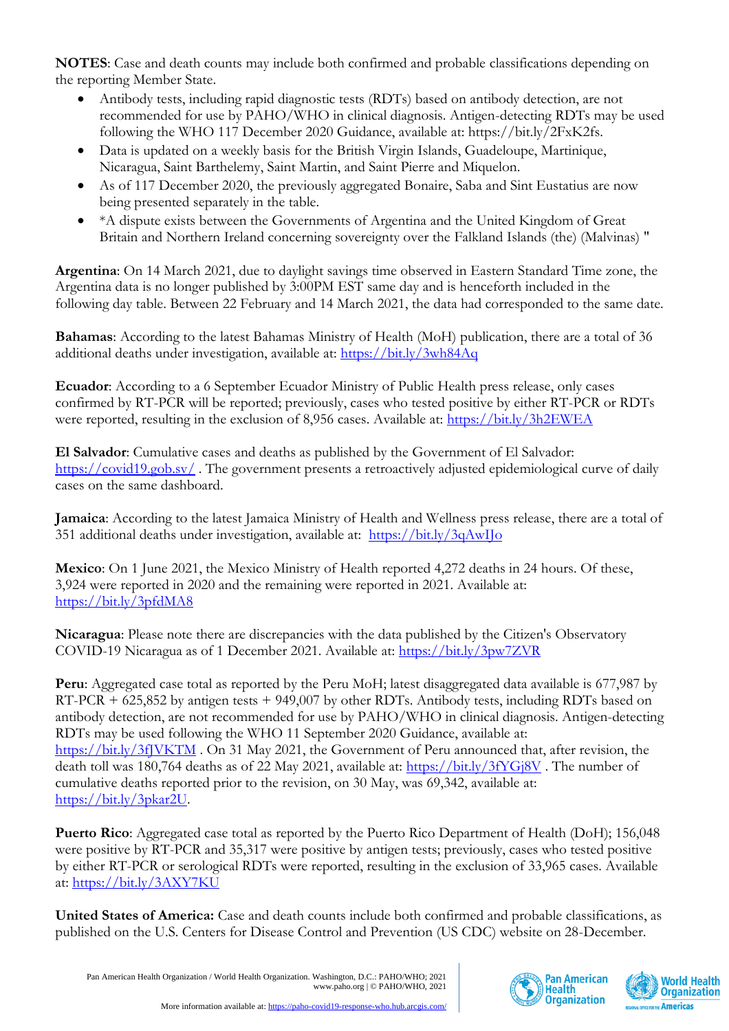**NOTES**: Case and death counts may include both confirmed and probable classifications depending on the reporting Member State.

- Antibody tests, including rapid diagnostic tests (RDTs) based on antibody detection, are not recommended for use by PAHO/WHO in clinical diagnosis. Antigen-detecting RDTs may be used following the WHO 117 December 2020 Guidance, available at: https://bit.ly/2FxK2fs.
- Data is updated on a weekly basis for the British Virgin Islands, Guadeloupe, Martinique, Nicaragua, Saint Barthelemy, Saint Martin, and Saint Pierre and Miquelon.
- As of 117 December 2020, the previously aggregated Bonaire, Saba and Sint Eustatius are now being presented separately in the table.
- \*A dispute exists between the Governments of Argentina and the United Kingdom of Great Britain and Northern Ireland concerning sovereignty over the Falkland Islands (the) (Malvinas) "

**Argentina**: On 14 March 2021, due to daylight savings time observed in Eastern Standard Time zone, the Argentina data is no longer published by 3:00PM EST same day and is henceforth included in the following day table. Between 22 February and 14 March 2021, the data had corresponded to the same date.

**Bahamas**: According to the latest Bahamas Ministry of Health (MoH) publication, there are a total of 36 additional deaths under investigation, available at:<https://bit.ly/3wh84Aq>

**Ecuador**: According to a 6 September Ecuador Ministry of Public Health press release, only cases confirmed by RT-PCR will be reported; previously, cases who tested positive by either RT-PCR or RDTs were reported, resulting in the exclusion of 8,956 cases. Available at:<https://bit.ly/3h2EWEA>

**El Salvador**: Cumulative cases and deaths as published by the Government of El Salvador: <https://covid19.gob.sv/>. The government presents a retroactively adjusted epidemiological curve of daily cases on the same dashboard.

**Jamaica**: According to the latest Jamaica Ministry of Health and Wellness press release, there are a total of 351 additional deaths under investigation, available at: <https://bit.ly/3qAwIJo>

**Mexico**: On 1 June 2021, the Mexico Ministry of Health reported 4,272 deaths in 24 hours. Of these, 3,924 were reported in 2020 and the remaining were reported in 2021. Available at: <https://bit.ly/3pfdMA8>

**Nicaragua**: Please note there are discrepancies with the data published by the Citizen's Observatory COVID-19 Nicaragua as of 1 December 2021. Available at:<https://bit.ly/3pw7ZVR>

**Peru**: Aggregated case total as reported by the Peru MoH; latest disaggregated data available is 677,987 by RT-PCR + 625,852 by antigen tests + 949,007 by other RDTs. Antibody tests, including RDTs based on antibody detection, are not recommended for use by PAHO/WHO in clinical diagnosis. Antigen-detecting RDTs may be used following the WHO 11 September 2020 Guidance, available at: <https://bit.ly/3fJVKTM> . On 31 May 2021, the Government of Peru announced that, after revision, the death toll was 180,764 deaths as of 22 May 2021, available at:<https://bit.ly/3fYGj8V>. The number of cumulative deaths reported prior to the revision, on 30 May, was 69,342, available at: [https://bit.ly/3pkar2U.](https://bit.ly/3pkar2U)

**Puerto Rico**: Aggregated case total as reported by the Puerto Rico Department of Health (DoH); 156,048 were positive by RT-PCR and 35,317 were positive by antigen tests; previously, cases who tested positive by either RT-PCR or serological RDTs were reported, resulting in the exclusion of 33,965 cases. Available at:<https://bit.ly/3AXY7KU>

**United States of America:** Case and death counts include both confirmed and probable classifications, as published on the U.S. Centers for Disease Control and Prevention (US CDC) website on 28-December.